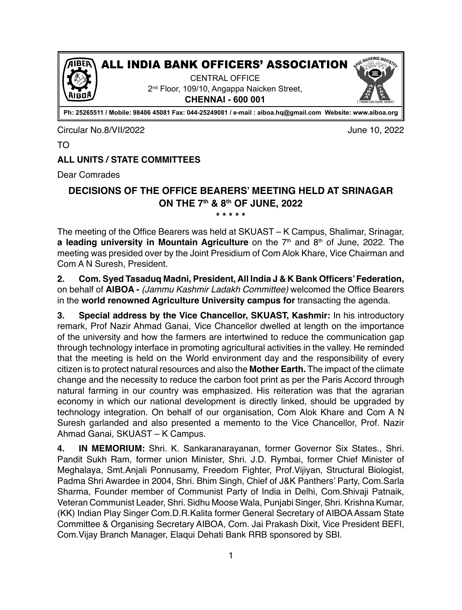

All india bank officers' association

Central Office 2<sup>nd</sup> Floor, 109/10, Angappa Naicken Street, **Chennai - 600 001**



**Ph: 25265511 / Mobile: 98406 45081 Fax: 044-25249081 / e-mail : aiboa.hq@gmail.com Website: www.aiboa.org**

Circular No.8/VII/2022 June 10, 2022

TO

# **ALL UNITS / STATE COMMITTEES**

Dear Comrades

#### **DECISIONS OF THE OFFICE BEARERS' MEETING HELD AT SRINAGAR ON THE 7th & 8th OF JUNE, 2022 \* \* \* \* \***

The meeting of the Office Bearers was held at SKUAST – K Campus, Shalimar, Srinagar, **a leading university in Mountain Agriculture** on the 7<sup>th</sup> and 8<sup>th</sup> of June, 2022. The meeting was presided over by the Joint Presidium of Com Alok Khare, Vice Chairman and Com A N Suresh, President.

**2. Com. Syed Tasaduq Madni, President, All India J & K Bank Officers' Federation,** on behalf of **AIBOA -** *(Jammu Kashmir Ladakh Committee)* welcomed the Office Bearers in the **world renowned Agriculture University campus for** transacting the agenda.

**3. Special address by the Vice Chancellor, SKUAST, Kashmir:** In his introductory remark, Prof Nazir Ahmad Ganai, Vice Chancellor dwelled at length on the importance of the university and how the farmers are intertwined to reduce the communication gap through technology interface in promoting agricultural activities in the valley. He reminded that the meeting is held on the World environment day and the responsibility of every citizen is to protect natural resources and also the **Mother Earth.** The impact of the climate change and the necessity to reduce the carbon foot print as per the Paris Accord through natural farming in our country was emphasized. His reiteration was that the agrarian economy in which our national development is directly linked, should be upgraded by technology integration. On behalf of our organisation, Com Alok Khare and Com A N Suresh garlanded and also presented a memento to the Vice Chancellor, Prof. Nazir Ahmad Ganai, SKUAST – K Campus.

**4. IN MEMORIUM:** Shri. K. Sankaranarayanan, former Governor Six States., Shri. Pandit Sukh Ram, former union Minister, Shri. J.D. Rymbai, former Chief Minister of Meghalaya, Smt.Anjali Ponnusamy, Freedom Fighter, Prof.Vijiyan, Structural Biologist, Padma Shri Awardee in 2004, Shri. Bhim Singh, Chief of J&K Panthers' Party, Com.Sarla Sharma, Founder member of Communist Party of India in Delhi, Com.Shivaji Patnaik, Veteran Communist Leader, Shri. Sidhu Moose Wala, Punjabi Singer, Shri. Krishna Kumar, (KK) Indian Play Singer Com.D.R.Kalita former General Secretary of AIBOA Assam State Committee & Organising Secretary AIBOA, Com. Jai Prakash Dixit, Vice President BEFI, Com.Vijay Branch Manager, Elaqui Dehati Bank RRB sponsored by SBI.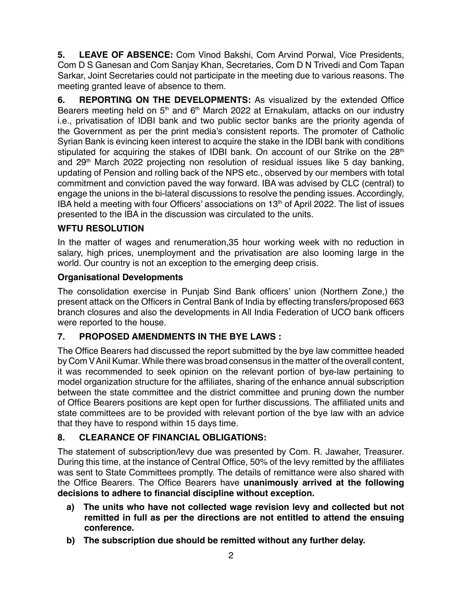**5. LEAVE OF ABSENCE:** Com Vinod Bakshi, Com Arvind Porwal, Vice Presidents, Com D S Ganesan and Com Sanjay Khan, Secretaries, Com D N Trivedi and Com Tapan Sarkar, Joint Secretaries could not participate in the meeting due to various reasons. The meeting granted leave of absence to them.

**6. REPORTING ON THE DEVELOPMENTS:** As visualized by the extended Office Bearers meeting held on 5<sup>th</sup> and 6<sup>th</sup> March 2022 at Ernakulam, attacks on our industry i.e., privatisation of IDBI bank and two public sector banks are the priority agenda of the Government as per the print media's consistent reports. The promoter of Catholic Syrian Bank is evincing keen interest to acquire the stake in the IDBI bank with conditions stipulated for acquiring the stakes of IDBI bank. On account of our Strike on the 28<sup>th</sup> and 29th March 2022 projecting non resolution of residual issues like 5 day banking, updating of Pension and rolling back of the NPS etc., observed by our members with total commitment and conviction paved the way forward. IBA was advised by CLC (central) to engage the unions in the bi-lateral discussions to resolve the pending issues. Accordingly, IBA held a meeting with four Officers' associations on  $13<sup>th</sup>$  of April 2022. The list of issues presented to the IBA in the discussion was circulated to the units.

### **WFTU RESOLUTION**

In the matter of wages and renumeration,35 hour working week with no reduction in salary, high prices, unemployment and the privatisation are also looming large in the world. Our country is not an exception to the emerging deep crisis.

#### **Organisational Developments**

The consolidation exercise in Punjab Sind Bank officers' union (Northern Zone,) the present attack on the Officers in Central Bank of India by effecting transfers/proposed 663 branch closures and also the developments in All India Federation of UCO bank officers were reported to the house.

### **7. PROPOSED AMENDMENTS IN THE BYE LAWS :**

The Office Bearers had discussed the report submitted by the bye law committee headed by Com V Anil Kumar. While there was broad consensus in the matter of the overall content, it was recommended to seek opinion on the relevant portion of bye-law pertaining to model organization structure for the affiliates, sharing of the enhance annual subscription between the state committee and the district committee and pruning down the number of Office Bearers positions are kept open for further discussions. The affiliated units and state committees are to be provided with relevant portion of the bye law with an advice that they have to respond within 15 days time.

#### **8. CLEARANCE OF FINANCIAL OBLIGATIONS:**

The statement of subscription/levy due was presented by Com. R. Jawaher, Treasurer. During this time, at the instance of Central Office, 50% of the levy remitted by the affiliates was sent to State Committees promptly. The details of remittance were also shared with the Office Bearers. The Office Bearers have **unanimously arrived at the following decisions to adhere to financial discipline without exception.**

- **a) The units who have not collected wage revision levy and collected but not remitted in full as per the directions are not entitled to attend the ensuing conference.**
- **b) The subscription due should be remitted without any further delay.**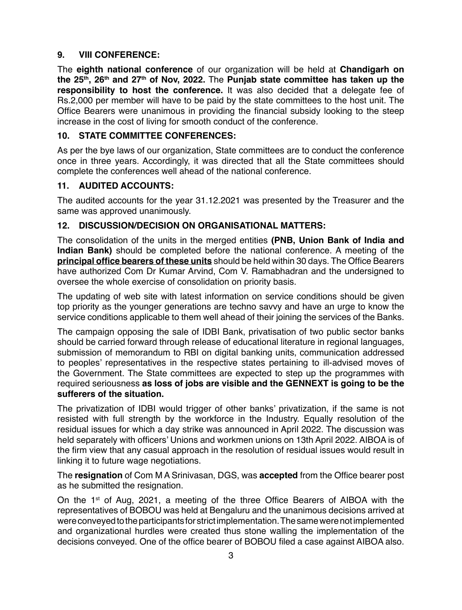### **9. VIII CONFERENCE:**

The **eighth national conference** of our organization will be held at **Chandigarh on the 25th, 26th and 27th of Nov, 2022.** The **Punjab state committee has taken up the responsibility to host the conference.** It was also decided that a delegate fee of Rs.2,000 per member will have to be paid by the state committees to the host unit. The Office Bearers were unanimous in providing the financial subsidy looking to the steep increase in the cost of living for smooth conduct of the conference.

### **10. STATE COMMITTEE CONFERENCES:**

As per the bye laws of our organization, State committees are to conduct the conference once in three years. Accordingly, it was directed that all the State committees should complete the conferences well ahead of the national conference.

## **11. AUDITED ACCOUNTS:**

The audited accounts for the year 31.12.2021 was presented by the Treasurer and the same was approved unanimously.

## **12. DISCUSSION/DECISION ON ORGANISATIONAL MATTERS:**

The consolidation of the units in the merged entities **(PNB, Union Bank of India and Indian Bank)** should be completed before the national conference. A meeting of the **principal office bearers of these units** should be held within 30 days. The Office Bearers have authorized Com Dr Kumar Arvind, Com V. Ramabhadran and the undersigned to oversee the whole exercise of consolidation on priority basis.

The updating of web site with latest information on service conditions should be given top priority as the younger generations are techno savvy and have an urge to know the service conditions applicable to them well ahead of their joining the services of the Banks.

The campaign opposing the sale of IDBI Bank, privatisation of two public sector banks should be carried forward through release of educational literature in regional languages, submission of memorandum to RBI on digital banking units, communication addressed to peoples' representatives in the respective states pertaining to ill-advised moves of the Government. The State committees are expected to step up the programmes with required seriousness **as loss of jobs are visible and the GENNEXT is going to be the sufferers of the situation.**

The privatization of IDBI would trigger of other banks' privatization, if the same is not resisted with full strength by the workforce in the Industry. Equally resolution of the residual issues for which a day strike was announced in April 2022. The discussion was held separately with officers' Unions and workmen unions on 13th April 2022. AIBOA is of the firm view that any casual approach in the resolution of residual issues would result in linking it to future wage negotiations.

The **resignation** of Com M A Srinivasan, DGS, was **accepted** from the Office bearer post as he submitted the resignation.

On the 1st of Aug, 2021, a meeting of the three Office Bearers of AIBOA with the representatives of BOBOU was held at Bengaluru and the unanimous decisions arrived at were conveyed to the participants for strict implementation. The same were not implemented and organizational hurdles were created thus stone walling the implementation of the decisions conveyed. One of the office bearer of BOBOU filed a case against AIBOA also.